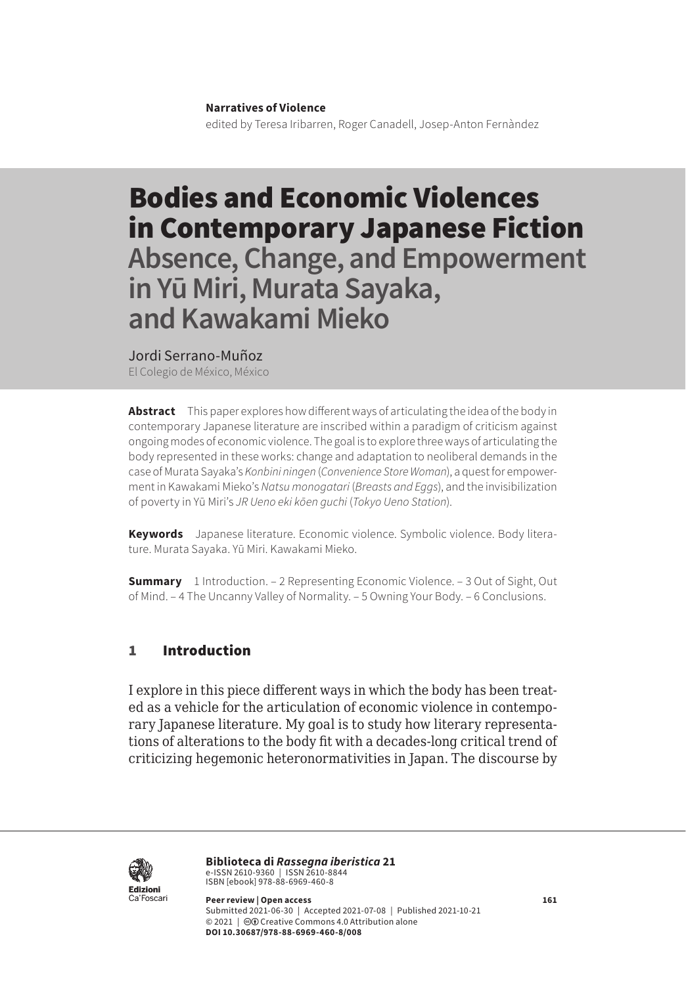#### **Narratives of Violence**

edited by Teresa Iribarren, Roger Canadell, Josep-Anton Fernàndez

# Bodies and Economic Violences in Contemporary Japanese Fiction **Absence, Change, and Empowerment in Yū Miri, Murata Sayaka, and Kawakami Mieko**

Jordi Serrano-Muñoz

El Colegio de México, México

**Abstract** This paper explores how different ways of articulating the idea of the body in contemporary Japanese literature are inscribed within a paradigm of criticism against ongoing modes of economic violence. The goal is to explore three ways of articulating the body represented in these works: change and adaptation to neoliberal demands in the case of Murata Sayaka's *Konbini ningen* (*Convenience Store Woman*), a quest for empowerment in Kawakami Mieko's *Natsu monogatari* (*Breasts and Eggs*), and the invisibilization of poverty in Yū Miri's *JR Ueno eki kōen guchi* (*Tokyo Ueno Station*).

**Keywords** Japanese literature. Economic violence. Symbolic violence. Body literature. Murata Sayaka. Yū Miri. Kawakami Mieko.

**Summary** [1 Introduction.](#page-1-0) – [2 Representing Economic Violence.](#page-2-0) – 3 Out of Sight, Out [of Mind](#page-4-0). – [4 The Uncanny Valley of Normality](#page-8-0). – [5 Owning Your Body.](#page-11-0) – [6 Conclusions.](#page-14-0)

#### 1 Introduction

I explore in this piece different ways in which the body has been treated as a vehicle for the articulation of economic violence in contemporary Japanese literature. My goal is to study how literary representations of alterations to the body fit with a decades-long critical trend of criticizing hegemonic heteronormativities in Japan. The discourse by



**Biblioteca di** *Rassegna iberistica* 21 e-ISSN 2610-9360 | ISSN 2610-8844<br>ISBN [ebook] 978-88-6969-460-8

**Peer review | Open access 161** Submitted 2021-06-30 | Accepted 2021-07-08 | Published 2021-10-21 © 2021 | @ Creative Commons 4.0 Attribution alone **DOI 10.30687/978-88-6969-460-8/008**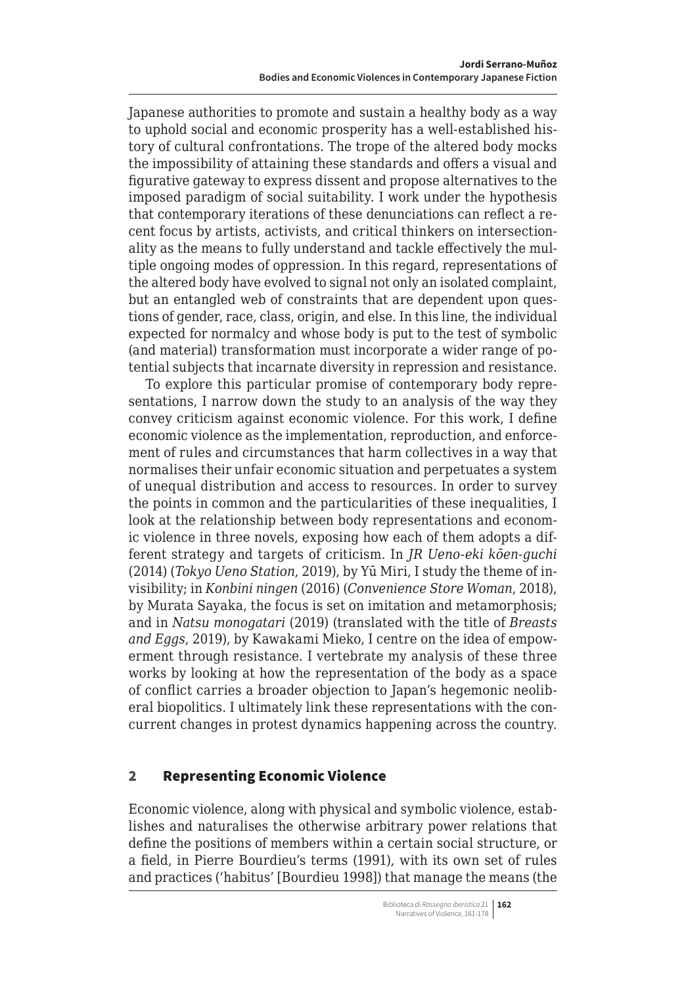<span id="page-1-0"></span>Japanese authorities to promote and sustain a healthy body as a way to uphold social and economic prosperity has a well-established history of cultural confrontations. The trope of the altered body mocks the impossibility of attaining these standards and offers a visual and figurative gateway to express dissent and propose alternatives to the imposed paradigm of social suitability. I work under the hypothesis that contemporary iterations of these denunciations can reflect a recent focus by artists, activists, and critical thinkers on intersectionality as the means to fully understand and tackle effectively the multiple ongoing modes of oppression. In this regard, representations of the altered body have evolved to signal not only an isolated complaint, but an entangled web of constraints that are dependent upon questions of gender, race, class, origin, and else. In this line, the individual expected for normalcy and whose body is put to the test of symbolic (and material) transformation must incorporate a wider range of potential subjects that incarnate diversity in repression and resistance.

To explore this particular promise of contemporary body representations, I narrow down the study to an analysis of the way they convey criticism against economic violence. For this work, I define economic violence as the implementation, reproduction, and enforcement of rules and circumstances that harm collectives in a way that normalises their unfair economic situation and perpetuates a system of unequal distribution and access to resources. In order to survey the points in common and the particularities of these inequalities, I look at the relationship between body representations and economic violence in three novels, exposing how each of them adopts a different strategy and targets of criticism. In *JR Ueno-eki kōen-guchi*  (2014) (*Tokyo Ueno Station*, 2019), by Yū Miri, I study the theme of invisibility; in *Konbini ningen* (2016) (*Convenience Store Woman*, 2018), by Murata Sayaka, the focus is set on imitation and metamorphosis; and in *Natsu monogatari* (2019) (translated with the title of *Breasts and Eggs*, 2019), by Kawakami Mieko, I centre on the idea of empowerment through resistance. I vertebrate my analysis of these three works by looking at how the representation of the body as a space of conflict carries a broader objection to Japan's hegemonic neoliberal biopolitics. I ultimately link these representations with the concurrent changes in protest dynamics happening across the country.

### 2 Representing Economic Violence

Economic violence, along with physical and symbolic violence, establishes and naturalises the otherwise arbitrary power relations that define the positions of members within a certain social structure, or a field, in Pierre Bourdieu's terms (1991), with its own set of rules and practices ('habitus' [Bourdieu 1998]) that manage the means (the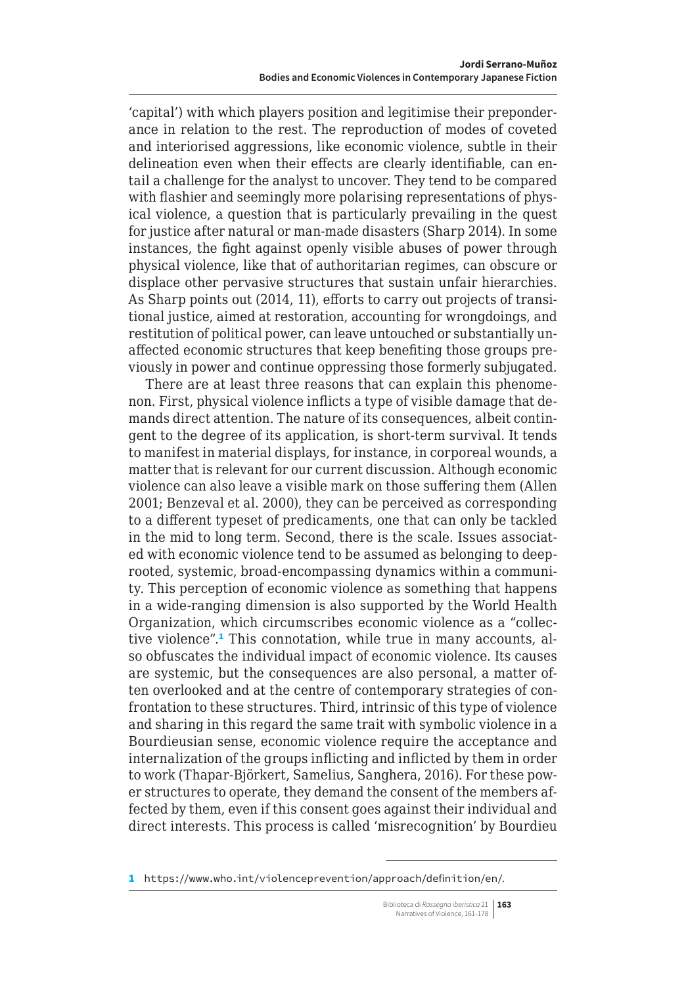<span id="page-2-0"></span>'capital') with which players position and legitimise their preponderance in relation to the rest. The reproduction of modes of coveted and interiorised aggressions, like economic violence, subtle in their delineation even when their effects are clearly identifiable, can entail a challenge for the analyst to uncover. They tend to be compared with flashier and seemingly more polarising representations of physical violence, a question that is particularly prevailing in the quest for justice after natural or man-made disasters (Sharp 2014). In some instances, the fight against openly visible abuses of power through physical violence, like that of authoritarian regimes, can obscure or displace other pervasive structures that sustain unfair hierarchies. As Sharp points out (2014, 11), efforts to carry out projects of transitional justice, aimed at restoration, accounting for wrongdoings, and restitution of political power, can leave untouched or substantially unaffected economic structures that keep benefiting those groups previously in power and continue oppressing those formerly subjugated.

There are at least three reasons that can explain this phenomenon. First, physical violence inflicts a type of visible damage that demands direct attention. The nature of its consequences, albeit contingent to the degree of its application, is short-term survival. It tends to manifest in material displays, for instance, in corporeal wounds, a matter that is relevant for our current discussion. Although economic violence can also leave a visible mark on those suffering them (Allen 2001; Benzeval et al. 2000), they can be perceived as corresponding to a different typeset of predicaments, one that can only be tackled in the mid to long term. Second, there is the scale. Issues associated with economic violence tend to be assumed as belonging to deeprooted, systemic, broad-encompassing dynamics within a community. This perception of economic violence as something that happens in a wide-ranging dimension is also supported by the World Health Organization, which circumscribes economic violence as a "collective violence".<sup>1</sup> This connotation, while true in many accounts, also obfuscates the individual impact of economic violence. Its causes are systemic, but the consequences are also personal, a matter often overlooked and at the centre of contemporary strategies of confrontation to these structures. Third, intrinsic of this type of violence and sharing in this regard the same trait with symbolic violence in a Bourdieusian sense, economic violence require the acceptance and internalization of the groups inflicting and inflicted by them in order to work (Thapar-Björkert, Samelius, Sanghera, 2016). For these power structures to operate, they demand the consent of the members affected by them, even if this consent goes against their individual and direct interests. This process is called 'misrecognition' by Bourdieu

<sup>1</sup> <https://www.who.int/violenceprevention/approach/definition/en/>.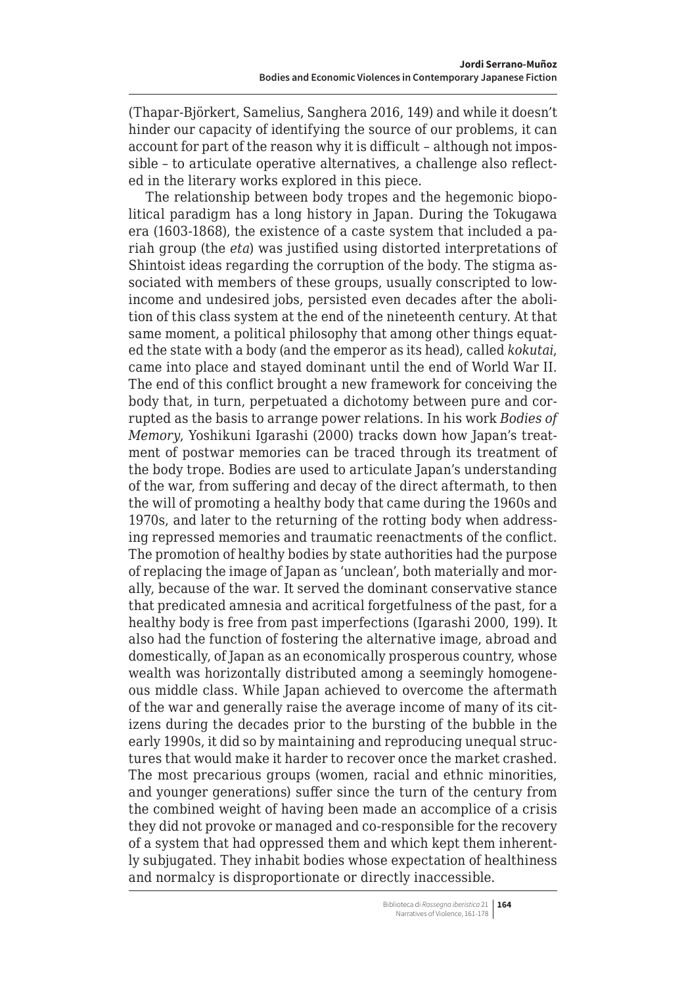(Thapar-Björkert, Samelius, Sanghera 2016, 149) and while it doesn't hinder our capacity of identifying the source of our problems, it can account for part of the reason why it is difficult – although not impossible – to articulate operative alternatives, a challenge also reflected in the literary works explored in this piece.

The relationship between body tropes and the hegemonic biopolitical paradigm has a long history in Japan. During the Tokugawa era (1603-1868), the existence of a caste system that included a pariah group (the *eta*) was justified using distorted interpretations of Shintoist ideas regarding the corruption of the body. The stigma associated with members of these groups, usually conscripted to lowincome and undesired jobs, persisted even decades after the abolition of this class system at the end of the nineteenth century. At that same moment, a political philosophy that among other things equated the state with a body (and the emperor as its head), called *kokutai*, came into place and stayed dominant until the end of World War II. The end of this conflict brought a new framework for conceiving the body that, in turn, perpetuated a dichotomy between pure and corrupted as the basis to arrange power relations. In his work *Bodies of Memory*, Yoshikuni Igarashi (2000) tracks down how Japan's treatment of postwar memories can be traced through its treatment of the body trope. Bodies are used to articulate Japan's understanding of the war, from suffering and decay of the direct aftermath, to then the will of promoting a healthy body that came during the 1960s and 1970s, and later to the returning of the rotting body when addressing repressed memories and traumatic reenactments of the conflict. The promotion of healthy bodies by state authorities had the purpose of replacing the image of Japan as 'unclean', both materially and morally, because of the war. It served the dominant conservative stance that predicated amnesia and acritical forgetfulness of the past, for a healthy body is free from past imperfections (Igarashi 2000, 199). It also had the function of fostering the alternative image, abroad and domestically, of Japan as an economically prosperous country, whose wealth was horizontally distributed among a seemingly homogeneous middle class. While Japan achieved to overcome the aftermath of the war and generally raise the average income of many of its citizens during the decades prior to the bursting of the bubble in the early 1990s, it did so by maintaining and reproducing unequal structures that would make it harder to recover once the market crashed. The most precarious groups (women, racial and ethnic minorities, and younger generations) suffer since the turn of the century from the combined weight of having been made an accomplice of a crisis they did not provoke or managed and co-responsible for the recovery of a system that had oppressed them and which kept them inherently subjugated. They inhabit bodies whose expectation of healthiness and normalcy is disproportionate or directly inaccessible.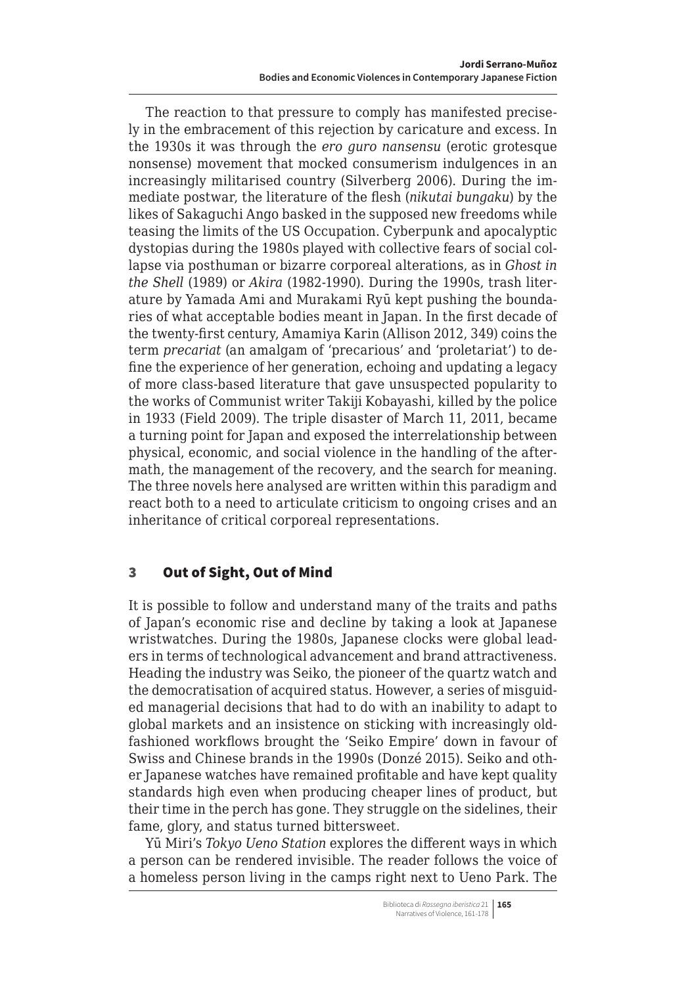<span id="page-4-0"></span>The reaction to that pressure to comply has manifested precisely in the embracement of this rejection by caricature and excess. In the 1930s it was through the *ero guro nansensu* (erotic grotesque nonsense) movement that mocked consumerism indulgences in an increasingly militarised country (Silverberg 2006). During the immediate postwar, the literature of the flesh (*nikutai bungaku*) by the likes of Sakaguchi Ango basked in the supposed new freedoms while teasing the limits of the US Occupation. Cyberpunk and apocalyptic dystopias during the 1980s played with collective fears of social collapse via posthuman or bizarre corporeal alterations, as in *Ghost in the Shell* (1989) or *Akira* (1982-1990). During the 1990s, trash literature by Yamada Ami and Murakami Ryū kept pushing the boundaries of what acceptable bodies meant in Japan. In the first decade of the twenty-first century, Amamiya Karin (Allison 2012, 349) coins the term *precariat* (an amalgam of 'precarious' and 'proletariat') to define the experience of her generation, echoing and updating a legacy of more class-based literature that gave unsuspected popularity to the works of Communist writer Takiji Kobayashi, killed by the police in 1933 (Field 2009). The triple disaster of March 11, 2011, became a turning point for Japan and exposed the interrelationship between physical, economic, and social violence in the handling of the aftermath, the management of the recovery, and the search for meaning. The three novels here analysed are written within this paradigm and react both to a need to articulate criticism to ongoing crises and an inheritance of critical corporeal representations.

### 3 Out of Sight, Out of Mind

It is possible to follow and understand many of the traits and paths of Japan's economic rise and decline by taking a look at Japanese wristwatches. During the 1980s, Japanese clocks were global leaders in terms of technological advancement and brand attractiveness. Heading the industry was Seiko, the pioneer of the quartz watch and the democratisation of acquired status. However, a series of misguided managerial decisions that had to do with an inability to adapt to global markets and an insistence on sticking with increasingly oldfashioned workflows brought the 'Seiko Empire' down in favour of Swiss and Chinese brands in the 1990s (Donzé 2015). Seiko and other Japanese watches have remained profitable and have kept quality standards high even when producing cheaper lines of product, but their time in the perch has gone. They struggle on the sidelines, their fame, glory, and status turned bittersweet.

Yū Miri's *Tokyo Ueno Station* explores the different ways in which a person can be rendered invisible. The reader follows the voice of a homeless person living in the camps right next to Ueno Park. The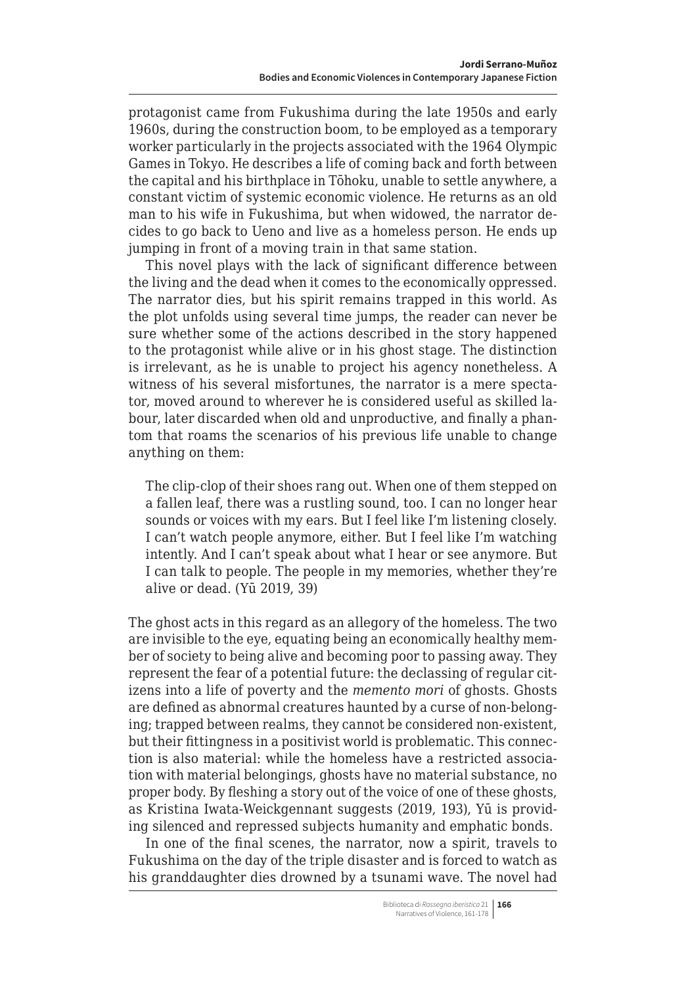protagonist came from Fukushima during the late 1950s and early 1960s, during the construction boom, to be employed as a temporary worker particularly in the projects associated with the 1964 Olympic Games in Tokyo. He describes a life of coming back and forth between the capital and his birthplace in Tōhoku, unable to settle anywhere, a constant victim of systemic economic violence. He returns as an old man to his wife in Fukushima, but when widowed, the narrator decides to go back to Ueno and live as a homeless person. He ends up jumping in front of a moving train in that same station.

This novel plays with the lack of significant difference between the living and the dead when it comes to the economically oppressed. The narrator dies, but his spirit remains trapped in this world. As the plot unfolds using several time jumps, the reader can never be sure whether some of the actions described in the story happened to the protagonist while alive or in his ghost stage. The distinction is irrelevant, as he is unable to project his agency nonetheless. A witness of his several misfortunes, the narrator is a mere spectator, moved around to wherever he is considered useful as skilled labour, later discarded when old and unproductive, and finally a phantom that roams the scenarios of his previous life unable to change anything on them:

The clip-clop of their shoes rang out. When one of them stepped on a fallen leaf, there was a rustling sound, too. I can no longer hear sounds or voices with my ears. But I feel like I'm listening closely. I can't watch people anymore, either. But I feel like I'm watching intently. And I can't speak about what I hear or see anymore. But I can talk to people. The people in my memories, whether they're alive or dead. (Yū 2019, 39)

The ghost acts in this regard as an allegory of the homeless. The two are invisible to the eye, equating being an economically healthy member of society to being alive and becoming poor to passing away. They represent the fear of a potential future: the declassing of regular citizens into a life of poverty and the *memento mori* of ghosts. Ghosts are defined as abnormal creatures haunted by a curse of non-belonging; trapped between realms, they cannot be considered non-existent, but their fittingness in a positivist world is problematic. This connection is also material: while the homeless have a restricted association with material belongings, ghosts have no material substance, no proper body. By fleshing a story out of the voice of one of these ghosts, as Kristina Iwata-Weickgennant suggests (2019, 193), Yū is providing silenced and repressed subjects humanity and emphatic bonds.

In one of the final scenes, the narrator, now a spirit, travels to Fukushima on the day of the triple disaster and is forced to watch as his granddaughter dies drowned by a tsunami wave. The novel had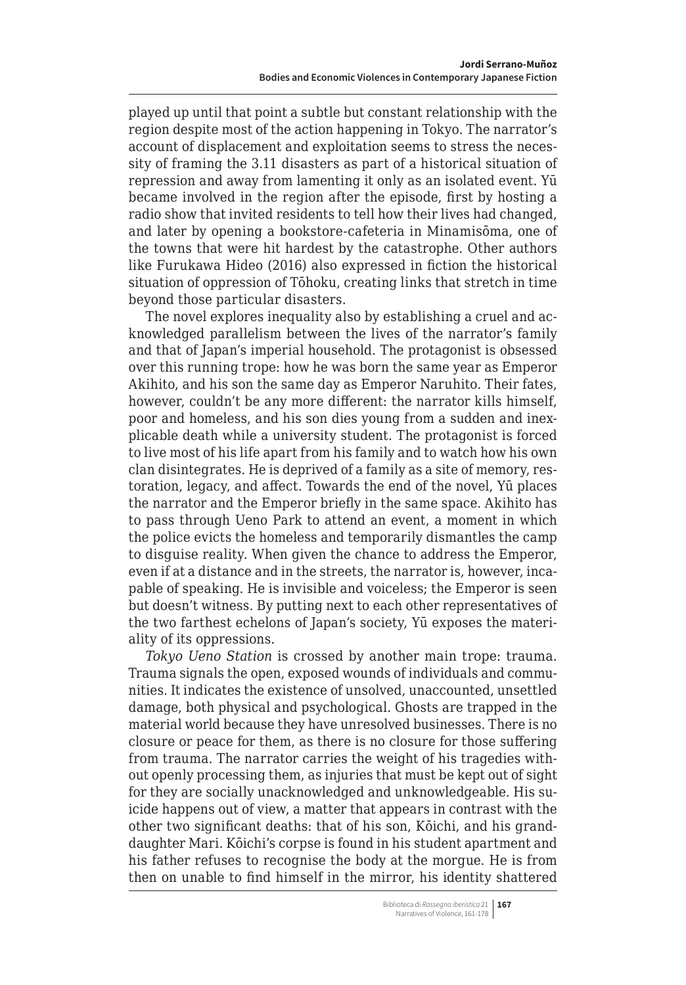played up until that point a subtle but constant relationship with the region despite most of the action happening in Tokyo. The narrator's account of displacement and exploitation seems to stress the necessity of framing the 3.11 disasters as part of a historical situation of repression and away from lamenting it only as an isolated event. Yū became involved in the region after the episode, first by hosting a radio show that invited residents to tell how their lives had changed, and later by opening a bookstore-cafeteria in Minamisōma, one of the towns that were hit hardest by the catastrophe. Other authors like Furukawa Hideo (2016) also expressed in fiction the historical situation of oppression of Tōhoku, creating links that stretch in time beyond those particular disasters.

The novel explores inequality also by establishing a cruel and acknowledged parallelism between the lives of the narrator's family and that of Japan's imperial household. The protagonist is obsessed over this running trope: how he was born the same year as Emperor Akihito, and his son the same day as Emperor Naruhito. Their fates, however, couldn't be any more different: the narrator kills himself, poor and homeless, and his son dies young from a sudden and inexplicable death while a university student. The protagonist is forced to live most of his life apart from his family and to watch how his own clan disintegrates. He is deprived of a family as a site of memory, restoration, legacy, and affect. Towards the end of the novel, Yū places the narrator and the Emperor briefly in the same space. Akihito has to pass through Ueno Park to attend an event, a moment in which the police evicts the homeless and temporarily dismantles the camp to disguise reality. When given the chance to address the Emperor, even if at a distance and in the streets, the narrator is, however, incapable of speaking. He is invisible and voiceless; the Emperor is seen but doesn't witness. By putting next to each other representatives of the two farthest echelons of Japan's society, Yū exposes the materiality of its oppressions.

*Tokyo Ueno Station* is crossed by another main trope: trauma. Trauma signals the open, exposed wounds of individuals and communities. It indicates the existence of unsolved, unaccounted, unsettled damage, both physical and psychological. Ghosts are trapped in the material world because they have unresolved businesses. There is no closure or peace for them, as there is no closure for those suffering from trauma. The narrator carries the weight of his tragedies without openly processing them, as injuries that must be kept out of sight for they are socially unacknowledged and unknowledgeable. His suicide happens out of view, a matter that appears in contrast with the other two significant deaths: that of his son, Kōichi, and his granddaughter Mari. Kōichi's corpse is found in his student apartment and his father refuses to recognise the body at the morgue. He is from then on unable to find himself in the mirror, his identity shattered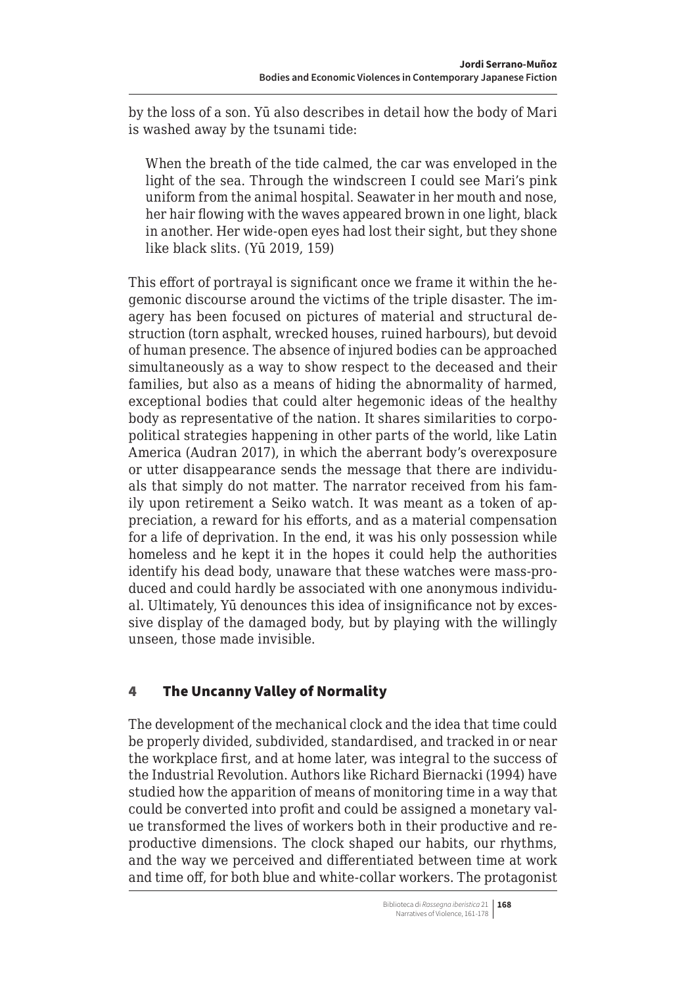by the loss of a son. Yū also describes in detail how the body of Mari is washed away by the tsunami tide:

When the breath of the tide calmed, the car was enveloped in the light of the sea. Through the windscreen I could see Mari's pink uniform from the animal hospital. Seawater in her mouth and nose, her hair flowing with the waves appeared brown in one light, black in another. Her wide-open eyes had lost their sight, but they shone like black slits. (Yū 2019, 159)

This effort of portrayal is significant once we frame it within the hegemonic discourse around the victims of the triple disaster. The imagery has been focused on pictures of material and structural destruction (torn asphalt, wrecked houses, ruined harbours), but devoid of human presence. The absence of injured bodies can be approached simultaneously as a way to show respect to the deceased and their families, but also as a means of hiding the abnormality of harmed, exceptional bodies that could alter hegemonic ideas of the healthy body as representative of the nation. It shares similarities to corpopolitical strategies happening in other parts of the world, like Latin America (Audran 2017), in which the aberrant body's overexposure or utter disappearance sends the message that there are individuals that simply do not matter. The narrator received from his family upon retirement a Seiko watch. It was meant as a token of appreciation, a reward for his efforts, and as a material compensation for a life of deprivation. In the end, it was his only possession while homeless and he kept it in the hopes it could help the authorities identify his dead body, unaware that these watches were mass-produced and could hardly be associated with one anonymous individual. Ultimately, Yū denounces this idea of insignificance not by excessive display of the damaged body, but by playing with the willingly unseen, those made invisible.

### 4 The Uncanny Valley of Normality

The development of the mechanical clock and the idea that time could be properly divided, subdivided, standardised, and tracked in or near the workplace first, and at home later, was integral to the success of the Industrial Revolution. Authors like Richard Biernacki (1994) have studied how the apparition of means of monitoring time in a way that could be converted into profit and could be assigned a monetary value transformed the lives of workers both in their productive and reproductive dimensions. The clock shaped our habits, our rhythms, and the way we perceived and differentiated between time at work and time off, for both blue and white-collar workers. The protagonist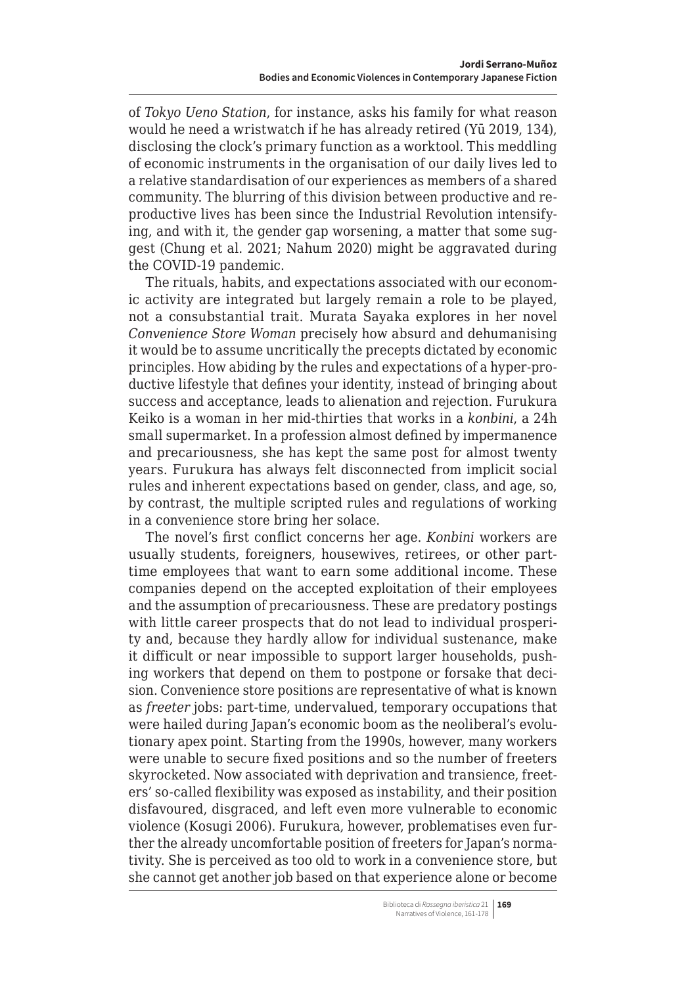<span id="page-8-0"></span>of *Tokyo Ueno Station*, for instance, asks his family for what reason would he need a wristwatch if he has already retired (Yū 2019, 134), disclosing the clock's primary function as a worktool. This meddling of economic instruments in the organisation of our daily lives led to a relative standardisation of our experiences as members of a shared community. The blurring of this division between productive and reproductive lives has been since the Industrial Revolution intensifying, and with it, the gender gap worsening, a matter that some suggest (Chung et al. 2021; Nahum 2020) might be aggravated during the COVID-19 pandemic.

The rituals, habits, and expectations associated with our economic activity are integrated but largely remain a role to be played, not a consubstantial trait. Murata Sayaka explores in her novel *Convenience Store Woman* precisely how absurd and dehumanising it would be to assume uncritically the precepts dictated by economic principles. How abiding by the rules and expectations of a hyper-productive lifestyle that defines your identity, instead of bringing about success and acceptance, leads to alienation and rejection. Furukura Keiko is a woman in her mid-thirties that works in a *konbini*, a 24h small supermarket. In a profession almost defined by impermanence and precariousness, she has kept the same post for almost twenty years. Furukura has always felt disconnected from implicit social rules and inherent expectations based on gender, class, and age, so, by contrast, the multiple scripted rules and regulations of working in a convenience store bring her solace.

The novel's first conflict concerns her age. *Konbini* workers are usually students, foreigners, housewives, retirees, or other parttime employees that want to earn some additional income. These companies depend on the accepted exploitation of their employees and the assumption of precariousness. These are predatory postings with little career prospects that do not lead to individual prosperity and, because they hardly allow for individual sustenance, make it difficult or near impossible to support larger households, pushing workers that depend on them to postpone or forsake that decision. Convenience store positions are representative of what is known as *freeter* jobs: part-time, undervalued, temporary occupations that were hailed during Japan's economic boom as the neoliberal's evolutionary apex point. Starting from the 1990s, however, many workers were unable to secure fixed positions and so the number of freeters skyrocketed. Now associated with deprivation and transience, freeters' so-called flexibility was exposed as instability, and their position disfavoured, disgraced, and left even more vulnerable to economic violence (Kosugi 2006). Furukura, however, problematises even further the already uncomfortable position of freeters for Japan's normativity. She is perceived as too old to work in a convenience store, but she cannot get another job based on that experience alone or become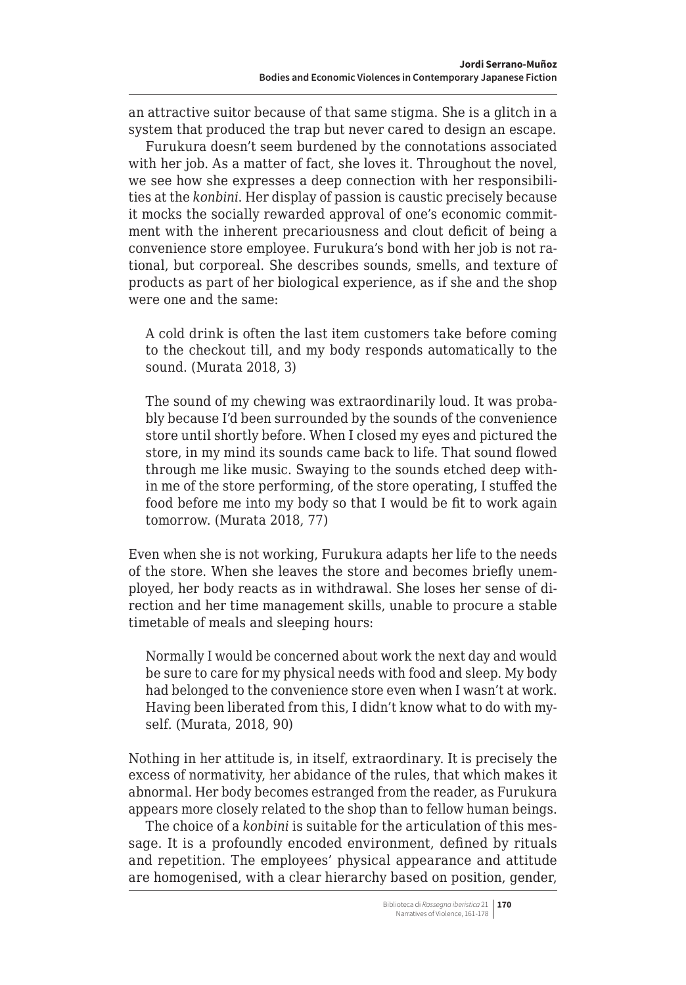an attractive suitor because of that same stigma. She is a glitch in a system that produced the trap but never cared to design an escape.

Furukura doesn't seem burdened by the connotations associated with her job. As a matter of fact, she loves it. Throughout the novel, we see how she expresses a deep connection with her responsibilities at the *konbini*. Her display of passion is caustic precisely because it mocks the socially rewarded approval of one's economic commitment with the inherent precariousness and clout deficit of being a convenience store employee. Furukura's bond with her job is not rational, but corporeal. She describes sounds, smells, and texture of products as part of her biological experience, as if she and the shop were one and the same:

A cold drink is often the last item customers take before coming to the checkout till, and my body responds automatically to the sound. (Murata 2018, 3)

The sound of my chewing was extraordinarily loud. It was probably because I'd been surrounded by the sounds of the convenience store until shortly before. When I closed my eyes and pictured the store, in my mind its sounds came back to life. That sound flowed through me like music. Swaying to the sounds etched deep within me of the store performing, of the store operating, I stuffed the food before me into my body so that I would be fit to work again tomorrow. (Murata 2018, 77)

Even when she is not working, Furukura adapts her life to the needs of the store. When she leaves the store and becomes briefly unemployed, her body reacts as in withdrawal. She loses her sense of direction and her time management skills, unable to procure a stable timetable of meals and sleeping hours:

Normally I would be concerned about work the next day and would be sure to care for my physical needs with food and sleep. My body had belonged to the convenience store even when I wasn't at work. Having been liberated from this, I didn't know what to do with myself. (Murata, 2018, 90)

Nothing in her attitude is, in itself, extraordinary. It is precisely the excess of normativity, her abidance of the rules, that which makes it abnormal. Her body becomes estranged from the reader, as Furukura appears more closely related to the shop than to fellow human beings.

The choice of a *konbini* is suitable for the articulation of this message. It is a profoundly encoded environment, defined by rituals and repetition. The employees' physical appearance and attitude are homogenised, with a clear hierarchy based on position, gender,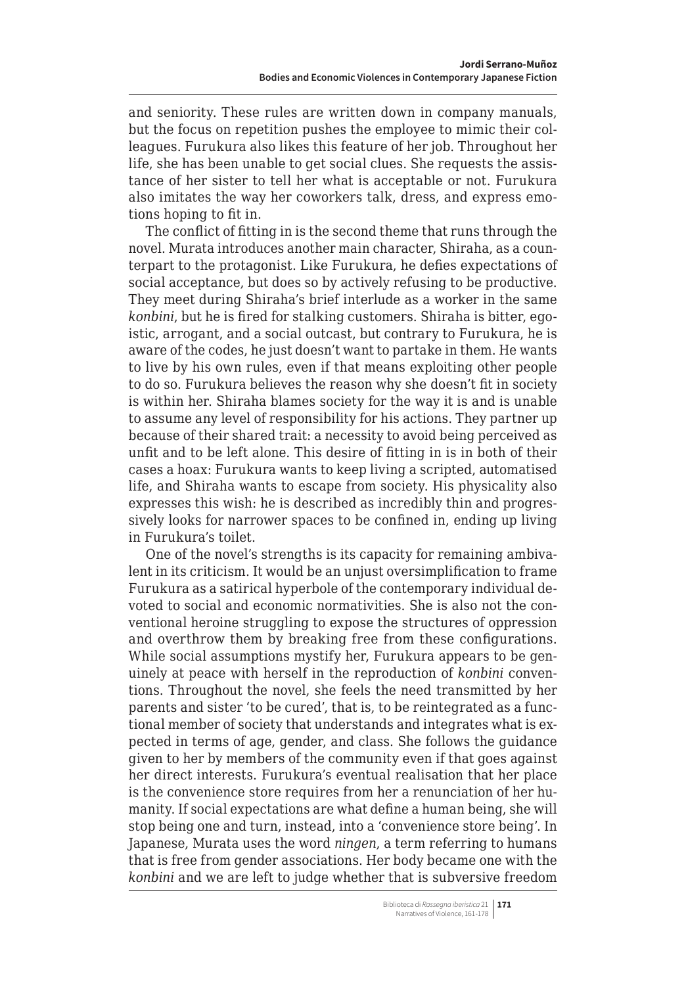and seniority. These rules are written down in company manuals, but the focus on repetition pushes the employee to mimic their colleagues. Furukura also likes this feature of her job. Throughout her life, she has been unable to get social clues. She requests the assistance of her sister to tell her what is acceptable or not. Furukura also imitates the way her coworkers talk, dress, and express emotions hoping to fit in.

The conflict of fitting in is the second theme that runs through the novel. Murata introduces another main character, Shiraha, as a counterpart to the protagonist. Like Furukura, he defies expectations of social acceptance, but does so by actively refusing to be productive. They meet during Shiraha's brief interlude as a worker in the same *konbini*, but he is fired for stalking customers. Shiraha is bitter, egoistic, arrogant, and a social outcast, but contrary to Furukura, he is aware of the codes, he just doesn't want to partake in them. He wants to live by his own rules, even if that means exploiting other people to do so. Furukura believes the reason why she doesn't fit in society is within her. Shiraha blames society for the way it is and is unable to assume any level of responsibility for his actions. They partner up because of their shared trait: a necessity to avoid being perceived as unfit and to be left alone. This desire of fitting in is in both of their cases a hoax: Furukura wants to keep living a scripted, automatised life, and Shiraha wants to escape from society. His physicality also expresses this wish: he is described as incredibly thin and progressively looks for narrower spaces to be confined in, ending up living in Furukura's toilet.

One of the novel's strengths is its capacity for remaining ambivalent in its criticism. It would be an unjust oversimplification to frame Furukura as a satirical hyperbole of the contemporary individual devoted to social and economic normativities. She is also not the conventional heroine struggling to expose the structures of oppression and overthrow them by breaking free from these configurations. While social assumptions mystify her, Furukura appears to be genuinely at peace with herself in the reproduction of *konbini* conventions. Throughout the novel, she feels the need transmitted by her parents and sister 'to be cured', that is, to be reintegrated as a functional member of society that understands and integrates what is expected in terms of age, gender, and class. She follows the guidance given to her by members of the community even if that goes against her direct interests. Furukura's eventual realisation that her place is the convenience store requires from her a renunciation of her humanity. If social expectations are what define a human being, she will stop being one and turn, instead, into a 'convenience store being'. In Japanese, Murata uses the word *ningen*, a term referring to humans that is free from gender associations. Her body became one with the *konbini* and we are left to judge whether that is subversive freedom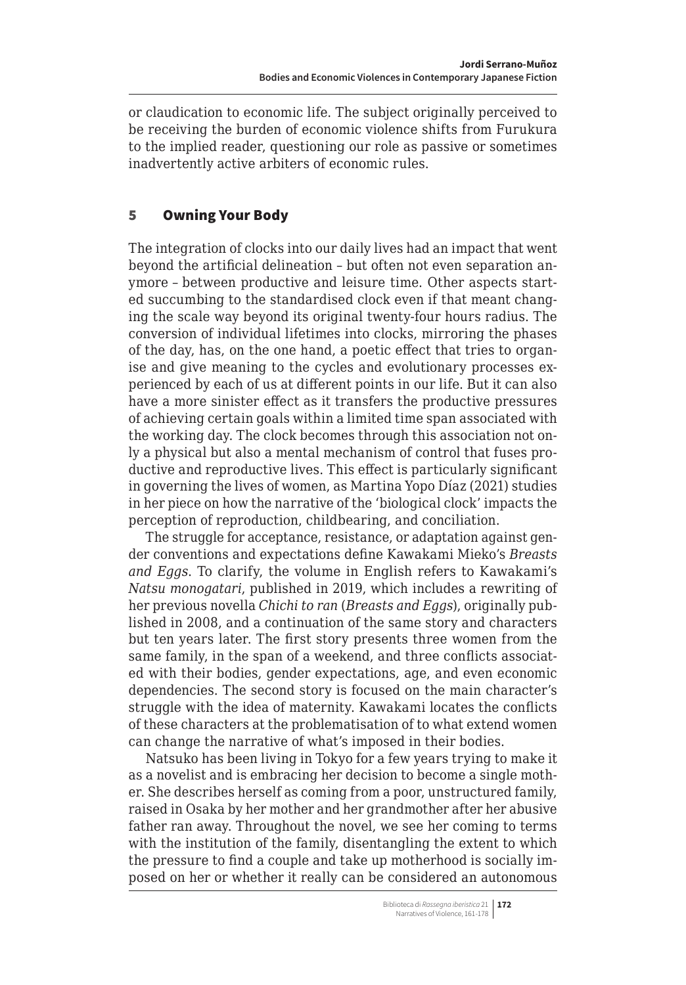<span id="page-11-0"></span>or claudication to economic life. The subject originally perceived to be receiving the burden of economic violence shifts from Furukura to the implied reader, questioning our role as passive or sometimes inadvertently active arbiters of economic rules.

## 5 Owning Your Body

The integration of clocks into our daily lives had an impact that went beyond the artificial delineation – but often not even separation anymore – between productive and leisure time. Other aspects started succumbing to the standardised clock even if that meant changing the scale way beyond its original twenty-four hours radius. The conversion of individual lifetimes into clocks, mirroring the phases of the day, has, on the one hand, a poetic effect that tries to organise and give meaning to the cycles and evolutionary processes experienced by each of us at different points in our life. But it can also have a more sinister effect as it transfers the productive pressures of achieving certain goals within a limited time span associated with the working day. The clock becomes through this association not only a physical but also a mental mechanism of control that fuses productive and reproductive lives. This effect is particularly significant in governing the lives of women, as Martina Yopo Díaz (2021) studies in her piece on how the narrative of the 'biological clock' impacts the perception of reproduction, childbearing, and conciliation.

The struggle for acceptance, resistance, or adaptation against gender conventions and expectations define Kawakami Mieko's *Breasts and Eggs*. To clarify, the volume in English refers to Kawakami's *Natsu monogatari*, published in 2019, which includes a rewriting of her previous novella *Chichi to ran* (*Breasts and Eggs*), originally published in 2008, and a continuation of the same story and characters but ten years later. The first story presents three women from the same family, in the span of a weekend, and three conflicts associated with their bodies, gender expectations, age, and even economic dependencies. The second story is focused on the main character's struggle with the idea of maternity. Kawakami locates the conflicts of these characters at the problematisation of to what extend women can change the narrative of what's imposed in their bodies.

Natsuko has been living in Tokyo for a few years trying to make it as a novelist and is embracing her decision to become a single mother. She describes herself as coming from a poor, unstructured family, raised in Osaka by her mother and her grandmother after her abusive father ran away. Throughout the novel, we see her coming to terms with the institution of the family, disentangling the extent to which the pressure to find a couple and take up motherhood is socially imposed on her or whether it really can be considered an autonomous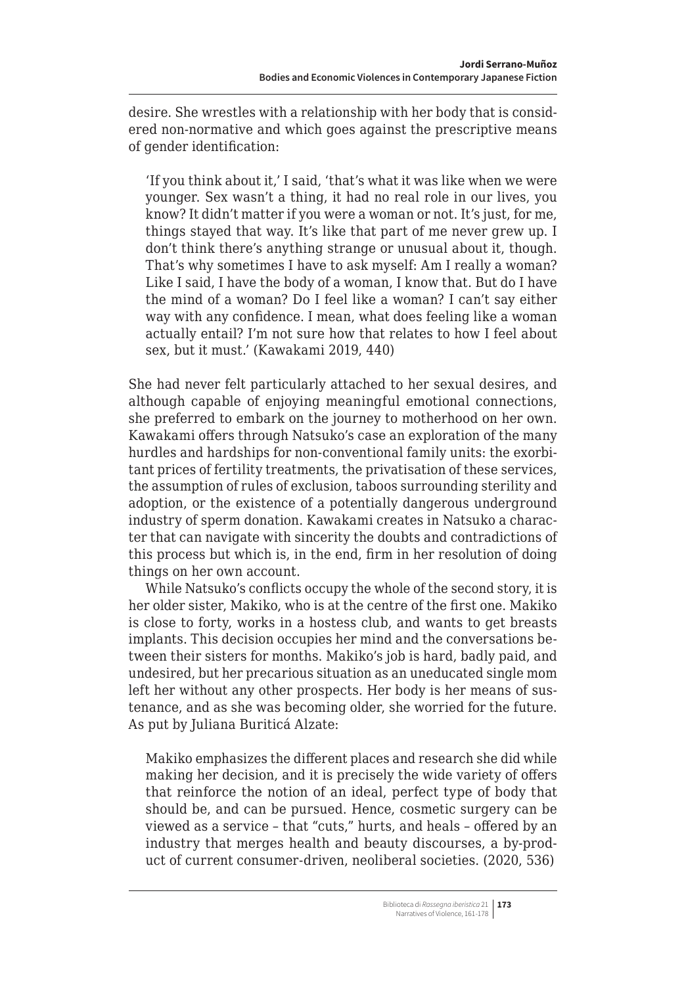desire. She wrestles with a relationship with her body that is considered non-normative and which goes against the prescriptive means of gender identification:

'If you think about it,' I said, 'that's what it was like when we were younger. Sex wasn't a thing, it had no real role in our lives, you know? It didn't matter if you were a woman or not. It's just, for me, things stayed that way. It's like that part of me never grew up. I don't think there's anything strange or unusual about it, though. That's why sometimes I have to ask myself: Am I really a woman? Like I said, I have the body of a woman, I know that. But do I have the mind of a woman? Do I feel like a woman? I can't say either way with any confidence. I mean, what does feeling like a woman actually entail? I'm not sure how that relates to how I feel about sex, but it must.' (Kawakami 2019, 440)

She had never felt particularly attached to her sexual desires, and although capable of enjoying meaningful emotional connections, she preferred to embark on the journey to motherhood on her own. Kawakami offers through Natsuko's case an exploration of the many hurdles and hardships for non-conventional family units: the exorbitant prices of fertility treatments, the privatisation of these services, the assumption of rules of exclusion, taboos surrounding sterility and adoption, or the existence of a potentially dangerous underground industry of sperm donation. Kawakami creates in Natsuko a character that can navigate with sincerity the doubts and contradictions of this process but which is, in the end, firm in her resolution of doing things on her own account.

While Natsuko's conflicts occupy the whole of the second story, it is her older sister, Makiko, who is at the centre of the first one. Makiko is close to forty, works in a hostess club, and wants to get breasts implants. This decision occupies her mind and the conversations between their sisters for months. Makiko's job is hard, badly paid, and undesired, but her precarious situation as an uneducated single mom left her without any other prospects. Her body is her means of sustenance, and as she was becoming older, she worried for the future. As put by Juliana Buriticá Alzate:

Makiko emphasizes the different places and research she did while making her decision, and it is precisely the wide variety of offers that reinforce the notion of an ideal, perfect type of body that should be, and can be pursued. Hence, cosmetic surgery can be viewed as a service – that "cuts," hurts, and heals – offered by an industry that merges health and beauty discourses, a by-product of current consumer-driven, neoliberal societies. (2020, 536)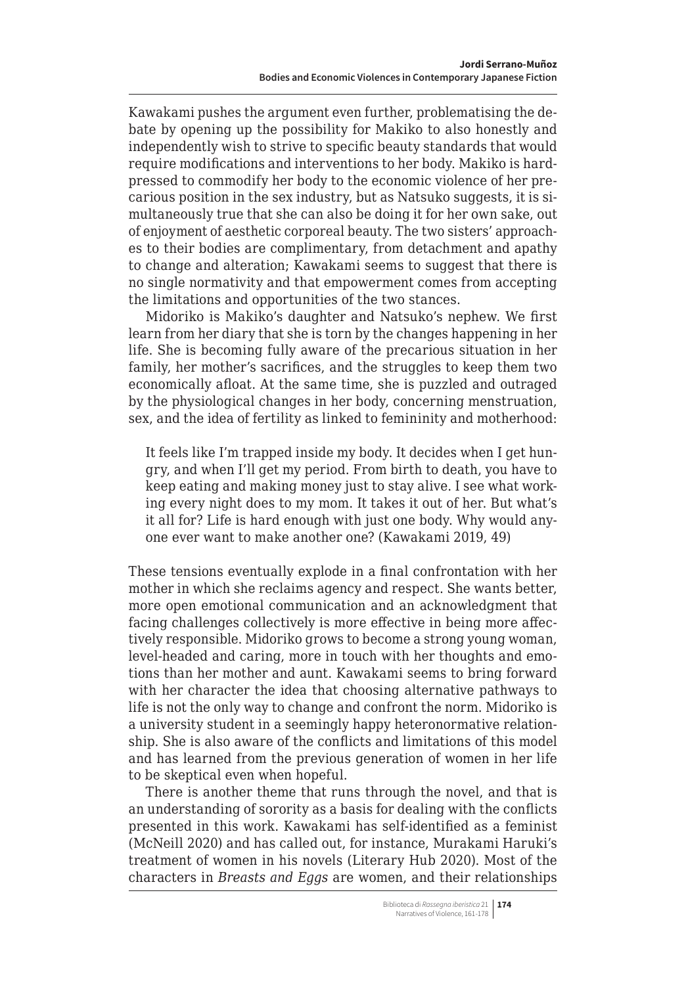Kawakami pushes the argument even further, problematising the debate by opening up the possibility for Makiko to also honestly and independently wish to strive to specific beauty standards that would require modifications and interventions to her body. Makiko is hardpressed to commodify her body to the economic violence of her precarious position in the sex industry, but as Natsuko suggests, it is simultaneously true that she can also be doing it for her own sake, out of enjoyment of aesthetic corporeal beauty. The two sisters' approaches to their bodies are complimentary, from detachment and apathy to change and alteration; Kawakami seems to suggest that there is no single normativity and that empowerment comes from accepting the limitations and opportunities of the two stances.

Midoriko is Makiko's daughter and Natsuko's nephew. We first learn from her diary that she is torn by the changes happening in her life. She is becoming fully aware of the precarious situation in her family, her mother's sacrifices, and the struggles to keep them two economically afloat. At the same time, she is puzzled and outraged by the physiological changes in her body, concerning menstruation, sex, and the idea of fertility as linked to femininity and motherhood:

It feels like I'm trapped inside my body. It decides when I get hungry, and when I'll get my period. From birth to death, you have to keep eating and making money just to stay alive. I see what working every night does to my mom. It takes it out of her. But what's it all for? Life is hard enough with just one body. Why would anyone ever want to make another one? (Kawakami 2019, 49)

These tensions eventually explode in a final confrontation with her mother in which she reclaims agency and respect. She wants better, more open emotional communication and an acknowledgment that facing challenges collectively is more effective in being more affectively responsible. Midoriko grows to become a strong young woman, level-headed and caring, more in touch with her thoughts and emotions than her mother and aunt. Kawakami seems to bring forward with her character the idea that choosing alternative pathways to life is not the only way to change and confront the norm. Midoriko is a university student in a seemingly happy heteronormative relationship. She is also aware of the conflicts and limitations of this model and has learned from the previous generation of women in her life to be skeptical even when hopeful.

There is another theme that runs through the novel, and that is an understanding of sorority as a basis for dealing with the conflicts presented in this work. Kawakami has self-identified as a feminist (McNeill 2020) and has called out, for instance, Murakami Haruki's treatment of women in his novels (Literary Hub 2020). Most of the characters in *Breasts and Eggs* are women, and their relationships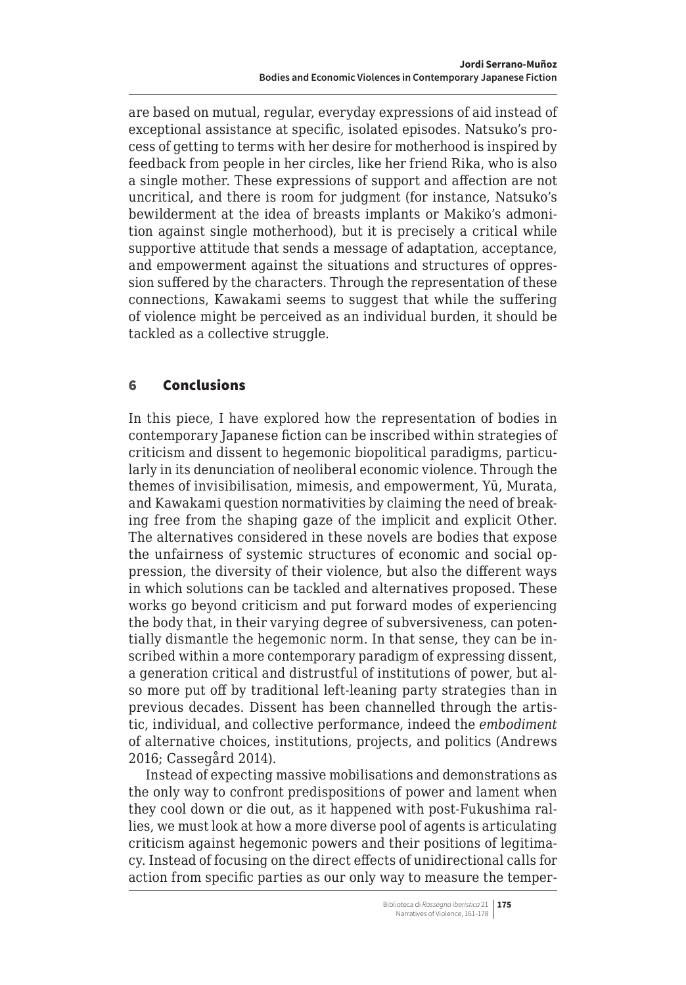<span id="page-14-0"></span>are based on mutual, regular, everyday expressions of aid instead of exceptional assistance at specific, isolated episodes. Natsuko's process of getting to terms with her desire for motherhood is inspired by feedback from people in her circles, like her friend Rika, who is also a single mother. These expressions of support and affection are not uncritical, and there is room for judgment (for instance, Natsuko's bewilderment at the idea of breasts implants or Makiko's admonition against single motherhood), but it is precisely a critical while supportive attitude that sends a message of adaptation, acceptance, and empowerment against the situations and structures of oppression suffered by the characters. Through the representation of these connections, Kawakami seems to suggest that while the suffering of violence might be perceived as an individual burden, it should be tackled as a collective struggle.

#### 6 Conclusions

In this piece, I have explored how the representation of bodies in contemporary Japanese fiction can be inscribed within strategies of criticism and dissent to hegemonic biopolitical paradigms, particularly in its denunciation of neoliberal economic violence. Through the themes of invisibilisation, mimesis, and empowerment, Yū, Murata, and Kawakami question normativities by claiming the need of breaking free from the shaping gaze of the implicit and explicit Other. The alternatives considered in these novels are bodies that expose the unfairness of systemic structures of economic and social oppression, the diversity of their violence, but also the different ways in which solutions can be tackled and alternatives proposed. These works go beyond criticism and put forward modes of experiencing the body that, in their varying degree of subversiveness, can potentially dismantle the hegemonic norm. In that sense, they can be inscribed within a more contemporary paradigm of expressing dissent, a generation critical and distrustful of institutions of power, but also more put off by traditional left-leaning party strategies than in previous decades. Dissent has been channelled through the artistic, individual, and collective performance, indeed the *embodiment* of alternative choices, institutions, projects, and politics (Andrews 2016; Cassegård 2014).

Instead of expecting massive mobilisations and demonstrations as the only way to confront predispositions of power and lament when they cool down or die out, as it happened with post-Fukushima rallies, we must look at how a more diverse pool of agents is articulating criticism against hegemonic powers and their positions of legitimacy. Instead of focusing on the direct effects of unidirectional calls for action from specific parties as our only way to measure the temper-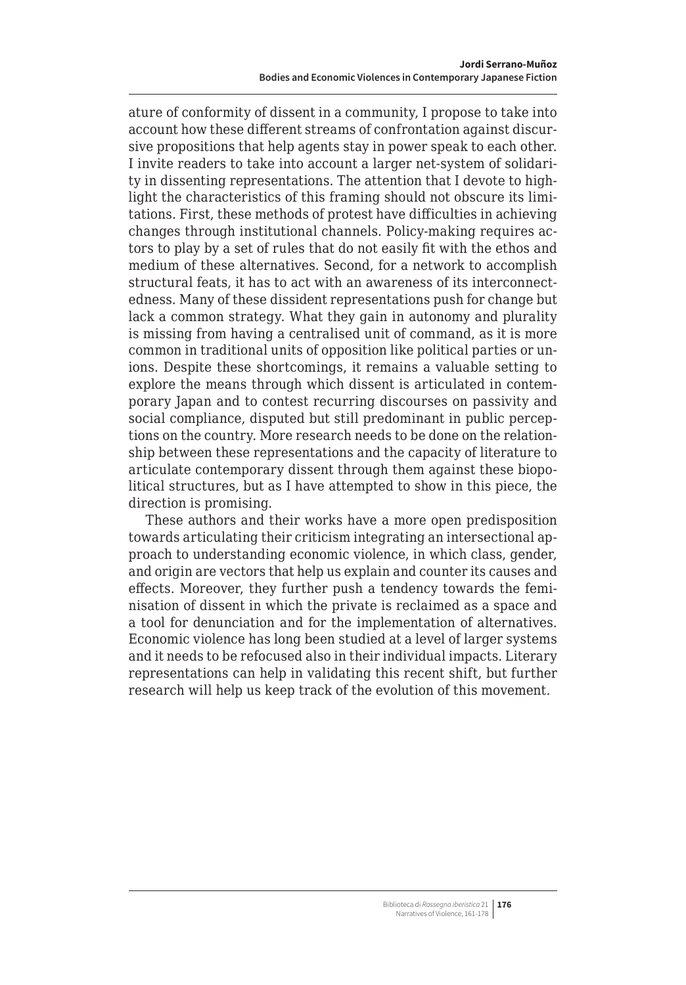ature of conformity of dissent in a community, I propose to take into account how these different streams of confrontation against discursive propositions that help agents stay in power speak to each other. I invite readers to take into account a larger net-system of solidarity in dissenting representations. The attention that I devote to highlight the characteristics of this framing should not obscure its limitations. First, these methods of protest have difficulties in achieving changes through institutional channels. Policy-making requires actors to play by a set of rules that do not easily fit with the ethos and medium of these alternatives. Second, for a network to accomplish structural feats, it has to act with an awareness of its interconnectedness. Many of these dissident representations push for change but lack a common strategy. What they gain in autonomy and plurality is missing from having a centralised unit of command, as it is more common in traditional units of opposition like political parties or unions. Despite these shortcomings, it remains a valuable setting to explore the means through which dissent is articulated in contemporary Japan and to contest recurring discourses on passivity and social compliance, disputed but still predominant in public perceptions on the country. More research needs to be done on the relationship between these representations and the capacity of literature to articulate contemporary dissent through them against these biopolitical structures, but as I have attempted to show in this piece, the direction is promising.

These authors and their works have a more open predisposition towards articulating their criticism integrating an intersectional approach to understanding economic violence, in which class, gender, and origin are vectors that help us explain and counter its causes and effects. Moreover, they further push a tendency towards the feminisation of dissent in which the private is reclaimed as a space and a tool for denunciation and for the implementation of alternatives. Economic violence has long been studied at a level of larger systems and it needs to be refocused also in their individual impacts. Literary representations can help in validating this recent shift, but further research will help us keep track of the evolution of this movement.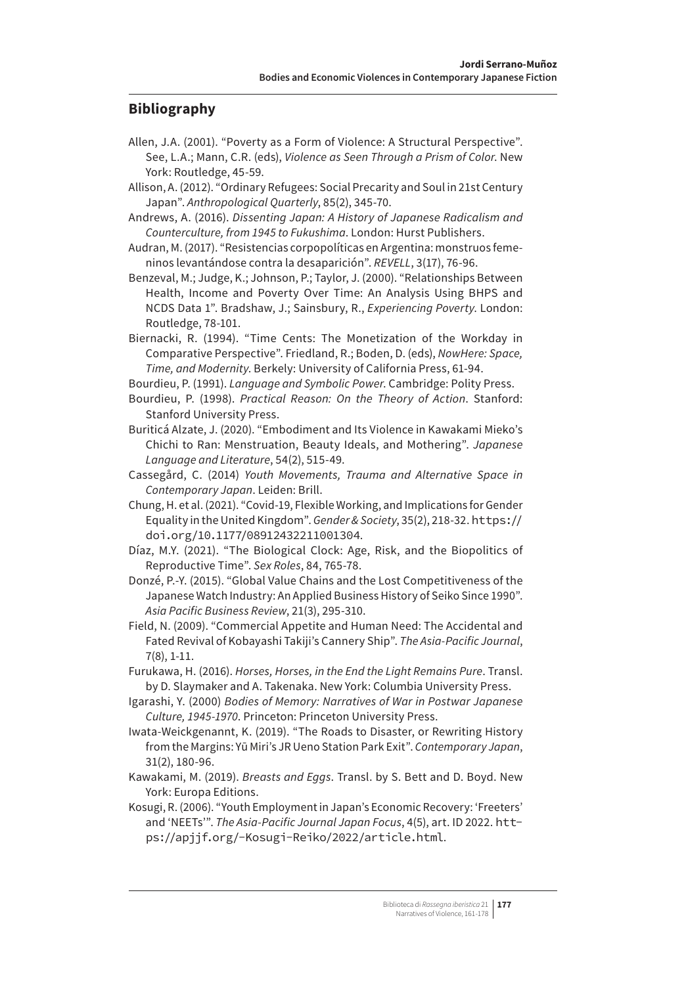#### **Bibliography**

- Allen, J.A. (2001). "Poverty as a Form of Violence: A Structural Perspective". See, L.A.; Mann, C.R. (eds), *Violence as Seen Through a Prism of Color*. New York: Routledge, 45-59.
- Allison, A. (2012). "Ordinary Refugees: Social Precarity and Soul in 21st Century Japan". *Anthropological Quarterly*, 85(2), 345-70.
- Andrews, A. (2016). *Dissenting Japan: A History of Japanese Radicalism and Counterculture, from 1945 to Fukushima*. London: Hurst Publishers.
- Audran, M. (2017). "Resistencias corpopolíticas en Argentina: monstruos femeninos levantándose contra la desaparición". *REVELL*, 3(17), 76-96.
- Benzeval, M.; Judge, K.; Johnson, P.; Taylor, J. (2000). "Relationships Between Health, Income and Poverty Over Time: An Analysis Using BHPS and NCDS Data 1". Bradshaw, J.; Sainsbury, R., *Experiencing Poverty*. London: Routledge, 78-101.
- Biernacki, R. (1994). "Time Cents: The Monetization of the Workday in Comparative Perspective". Friedland, R.; Boden, D. (eds), *NowHere: Space, Time, and Modernity*. Berkely: University of California Press, 61-94.
- Bourdieu, P. (1991). *Language and Symbolic Power*. Cambridge: Polity Press.
- Bourdieu, P. (1998). *Practical Reason: On the Theory of Action*. Stanford: Stanford University Press.
- Buriticá Alzate, J. (2020). "Embodiment and Its Violence in Kawakami Mieko's Chichi to Ran: Menstruation, Beauty Ideals, and Mothering". *Japanese Language and Literature*, 54(2), 515-49.
- Cassegård, C. (2014) *Youth Movements, Trauma and Alternative Space in Contemporary Japan*. Leiden: Brill.
- Chung, H. et al. (2021). "Covid-19, Flexible Working, and Implications for Gender Equality in the United Kingdom". *Gender & Society*, 35(2), 218-32. [https://](https://doi.org/10.1177/08912432211001304) [doi.org/10.1177/08912432211001304](https://doi.org/10.1177/08912432211001304).
- Díaz, M.Y. (2021). "The Biological Clock: Age, Risk, and the Biopolitics of Reproductive Time". *Sex Roles*, 84, 765-78.
- Donzé, P.-Y. (2015). "Global Value Chains and the Lost Competitiveness of the Japanese Watch Industry: An Applied Business History of Seiko Since 1990". *Asia Pacific Business Review*, 21(3), 295-310.
- Field, N. (2009). "Commercial Appetite and Human Need: The Accidental and Fated Revival of Kobayashi Takiji's Cannery Ship". *The Asia-Pacific Journal*, 7(8), 1-11.
- Furukawa, H. (2016). *Horses, Horses, in the End the Light Remains Pure*. Transl. by D. Slaymaker and A. Takenaka. New York: Columbia University Press.
- Igarashi, Y. (2000) *Bodies of Memory: Narratives of War in Postwar Japanese Culture, 1945-1970*. Princeton: Princeton University Press.
- Iwata-Weickgenannt, K. (2019). "The Roads to Disaster, or Rewriting History from the Margins: Yū Miri's JR Ueno Station Park Exit". *Contemporary Japan*, 31(2), 180-96.
- Kawakami, M. (2019). *Breasts and Eggs*. Transl. by S. Bett and D. Boyd. New York: Europa Editions.
- Kosugi, R. (2006). "Youth Employment in Japan's Economic Recovery: 'Freeters' and 'NEETs'". *The Asia-Pacific Journal Japan Focus*, 4(5), art. ID 2022. [htt](https://apjjf.org/-Kosugi-Reiko/2022/article.html)[ps://apjjf.org/-Kosugi-Reiko/2022/article.html](https://apjjf.org/-Kosugi-Reiko/2022/article.html).